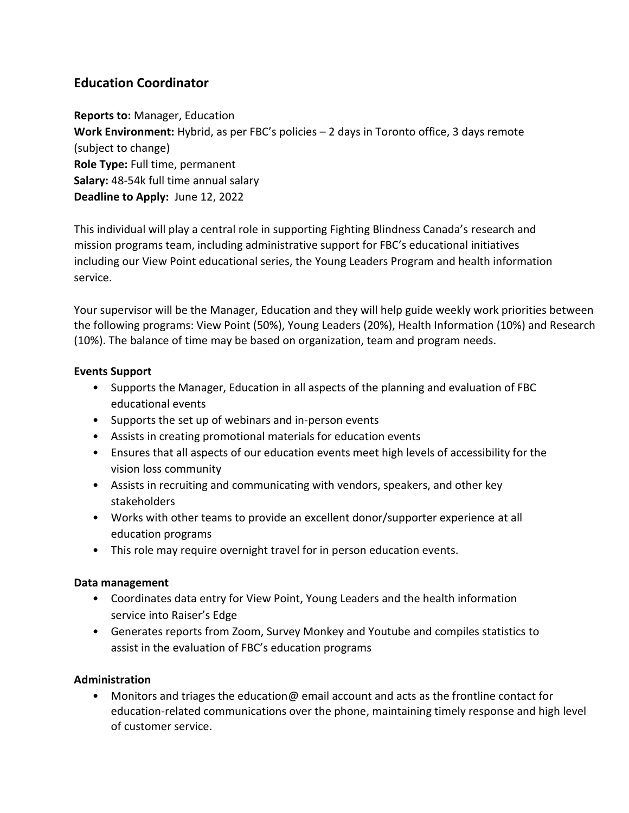# **Education Coordinator**

**Reports to:** Manager, Education **Work Environment:** Hybrid, as per FBC's policies – 2 days in Toronto office, 3 days remote (subject to change) **Role Type:** Full time, permanent **Salary:** 48-54k full time annual salary **Deadline to Apply:** June 12, 2022

This individual will play a central role in supporting Fighting Blindness Canada's research and mission programs team, including administrative support for FBC's educational initiatives including our View Point educational series, the Young Leaders Program and health information service.

Your supervisor will be the Manager, Education and they will help guide weekly work priorities between the following programs: View Point (50%), Young Leaders (20%), Health Information (10%) and Research (10%). The balance of time may be based on organization, team and program needs.

## **Events Support**

- Supports the Manager, Education in all aspects of the planning and evaluation of FBC educational events
- Supports the set up of webinars and in-person events
- Assists in creating promotional materials for education events
- Ensures that all aspects of our education events meet high levels of accessibility for the vision loss community
- Assists in recruiting and communicating with vendors, speakers, and other key stakeholders
- Works with other teams to provide an excellent donor/supporter experience at all education programs
- This role may require overnight travel for in person education events.

## **Data management**

- Coordinates data entry for View Point, Young Leaders and the health information service into Raiser's Edge
- Generates reports from Zoom, Survey Monkey and Youtube and compiles statistics to assist in the evaluation of FBC's education programs

## **Administration**

• Monitors and triages the education  $\omega$  email account and acts as the frontline contact for education-related communications over the phone, maintaining timely response and high level of customer service.